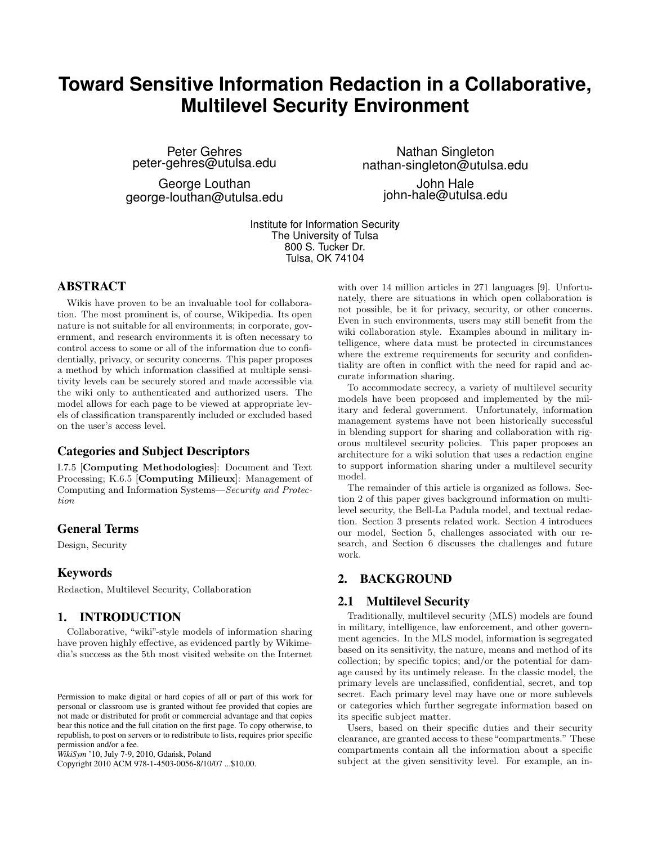# **Toward Sensitive Information Redaction in a Collaborative, Multilevel Security Environment**

Peter Gehres peter-gehres@utulsa.edu

George Louthan george-louthan@utulsa.edu

Nathan Singleton nathan-singleton@utulsa.edu

> John Hale john-hale@utulsa.edu

Institute for Information Security The University of Tulsa 800 S. Tucker Dr. Tulsa, OK 74104

#### ABSTRACT

Wikis have proven to be an invaluable tool for collaboration. The most prominent is, of course, Wikipedia. Its open nature is not suitable for all environments; in corporate, government, and research environments it is often necessary to control access to some or all of the information due to confidentially, privacy, or security concerns. This paper proposes a method by which information classified at multiple sensitivity levels can be securely stored and made accessible via the wiki only to authenticated and authorized users. The model allows for each page to be viewed at appropriate levels of classification transparently included or excluded based on the user's access level.

## Categories and Subject Descriptors

I.7.5 [Computing Methodologies]: Document and Text Processing; K.6.5 [Computing Milieux]: Management of Computing and Information Systems—Security and Protection

#### General Terms

Design, Security

#### Keywords

Redaction, Multilevel Security, Collaboration

## 1. INTRODUCTION

Collaborative, "wiki"-style models of information sharing have proven highly effective, as evidenced partly by Wikimedia's success as the 5th most visited website on the Internet

Copyright 2010 ACM 978-1-4503-0056-8/10/07 ...\$10.00.

with over 14 million articles in 271 languages [9]. Unfortunately, there are situations in which open collaboration is not possible, be it for privacy, security, or other concerns. Even in such environments, users may still benefit from the wiki collaboration style. Examples abound in military intelligence, where data must be protected in circumstances where the extreme requirements for security and confidentiality are often in conflict with the need for rapid and accurate information sharing.

To accommodate secrecy, a variety of multilevel security models have been proposed and implemented by the military and federal government. Unfortunately, information management systems have not been historically successful in blending support for sharing and collaboration with rigorous multilevel security policies. This paper proposes an architecture for a wiki solution that uses a redaction engine to support information sharing under a multilevel security model.

The remainder of this article is organized as follows. Section 2 of this paper gives background information on multilevel security, the Bell-La Padula model, and textual redaction. Section 3 presents related work. Section 4 introduces our model, Section 5, challenges associated with our research, and Section 6 discusses the challenges and future work.

# 2. BACKGROUND

#### 2.1 Multilevel Security

Traditionally, multilevel security (MLS) models are found in military, intelligence, law enforcement, and other government agencies. In the MLS model, information is segregated based on its sensitivity, the nature, means and method of its collection; by specific topics; and/or the potential for damage caused by its untimely release. In the classic model, the primary levels are unclassified, confidential, secret, and top secret. Each primary level may have one or more sublevels or categories which further segregate information based on its specific subject matter.

Users, based on their specific duties and their security clearance, are granted access to these "compartments." These compartments contain all the information about a specific subject at the given sensitivity level. For example, an in-

Permission to make digital or hard copies of all or part of this work for personal or classroom use is granted without fee provided that copies are not made or distributed for profit or commercial advantage and that copies bear this notice and the full citation on the first page. To copy otherwise, to republish, to post on servers or to redistribute to lists, requires prior specific permission and/or a fee.

*WikiSym* '10, July 7-9, 2010, Gdańsk, Poland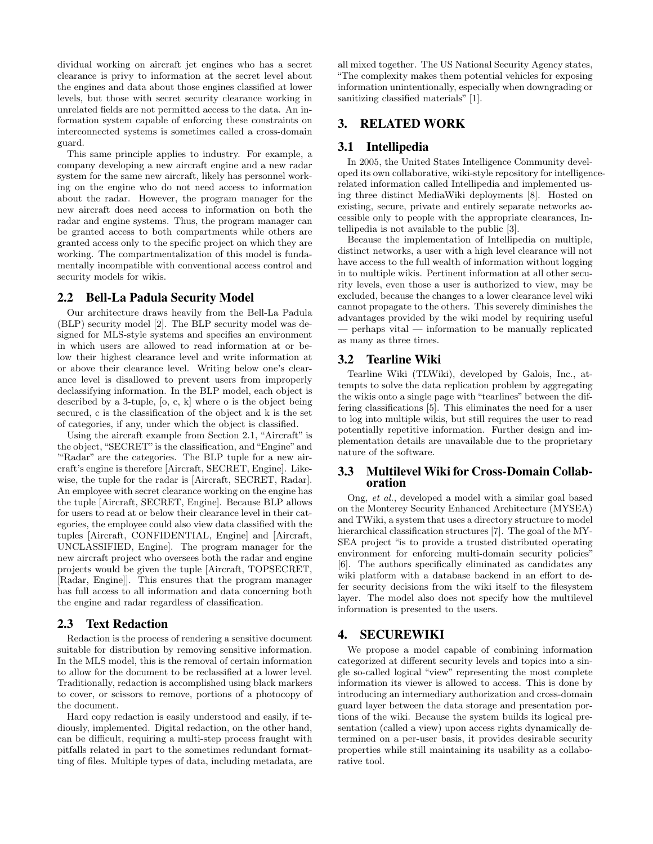dividual working on aircraft jet engines who has a secret clearance is privy to information at the secret level about the engines and data about those engines classified at lower levels, but those with secret security clearance working in unrelated fields are not permitted access to the data. An information system capable of enforcing these constraints on interconnected systems is sometimes called a cross-domain guard.

This same principle applies to industry. For example, a company developing a new aircraft engine and a new radar system for the same new aircraft, likely has personnel working on the engine who do not need access to information about the radar. However, the program manager for the new aircraft does need access to information on both the radar and engine systems. Thus, the program manager can be granted access to both compartments while others are granted access only to the specific project on which they are working. The compartmentalization of this model is fundamentally incompatible with conventional access control and security models for wikis.

## 2.2 Bell-La Padula Security Model

Our architecture draws heavily from the Bell-La Padula (BLP) security model [2]. The BLP security model was designed for MLS-style systems and specifies an environment in which users are allowed to read information at or below their highest clearance level and write information at or above their clearance level. Writing below one's clearance level is disallowed to prevent users from improperly declassifying information. In the BLP model, each object is described by a 3-tuple, [o, c, k] where o is the object being secured, c is the classification of the object and k is the set of categories, if any, under which the object is classified.

Using the aircraft example from Section 2.1, "Aircraft" is the object, "SECRET"is the classification, and "Engine" and '"Radar" are the categories. The BLP tuple for a new aircraft's engine is therefore [Aircraft, SECRET, Engine]. Likewise, the tuple for the radar is [Aircraft, SECRET, Radar]. An employee with secret clearance working on the engine has the tuple [Aircraft, SECRET, Engine]. Because BLP allows for users to read at or below their clearance level in their categories, the employee could also view data classified with the tuples [Aircraft, CONFIDENTIAL, Engine] and [Aircraft, UNCLASSIFIED, Engine]. The program manager for the new aircraft project who oversees both the radar and engine projects would be given the tuple [Aircraft, TOPSECRET, [Radar, Engine]]. This ensures that the program manager has full access to all information and data concerning both the engine and radar regardless of classification.

#### 2.3 Text Redaction

Redaction is the process of rendering a sensitive document suitable for distribution by removing sensitive information. In the MLS model, this is the removal of certain information to allow for the document to be reclassified at a lower level. Traditionally, redaction is accomplished using black markers to cover, or scissors to remove, portions of a photocopy of the document.

Hard copy redaction is easily understood and easily, if tediously, implemented. Digital redaction, on the other hand, can be difficult, requiring a multi-step process fraught with pitfalls related in part to the sometimes redundant formatting of files. Multiple types of data, including metadata, are all mixed together. The US National Security Agency states, "The complexity makes them potential vehicles for exposing information unintentionally, especially when downgrading or sanitizing classified materials" [1].

## 3. RELATED WORK

#### 3.1 Intellipedia

In 2005, the United States Intelligence Community developed its own collaborative, wiki-style repository for intelligencerelated information called Intellipedia and implemented using three distinct MediaWiki deployments [8]. Hosted on existing, secure, private and entirely separate networks accessible only to people with the appropriate clearances, Intellipedia is not available to the public [3].

Because the implementation of Intellipedia on multiple, distinct networks, a user with a high level clearance will not have access to the full wealth of information without logging in to multiple wikis. Pertinent information at all other security levels, even those a user is authorized to view, may be excluded, because the changes to a lower clearance level wiki cannot propagate to the others. This severely diminishes the advantages provided by the wiki model by requiring useful — perhaps vital — information to be manually replicated as many as three times.

#### 3.2 Tearline Wiki

Tearline Wiki (TLWiki), developed by Galois, Inc., attempts to solve the data replication problem by aggregating the wikis onto a single page with "tearlines" between the differing classifications [5]. This eliminates the need for a user to log into multiple wikis, but still requires the user to read potentially repetitive information. Further design and implementation details are unavailable due to the proprietary nature of the software.

#### 3.3 Multilevel Wiki for Cross-Domain Collaboration

Ong, et al., developed a model with a similar goal based on the Monterey Security Enhanced Architecture (MYSEA) and TWiki, a system that uses a directory structure to model hierarchical classification structures [7]. The goal of the MY-SEA project "is to provide a trusted distributed operating environment for enforcing multi-domain security policies' [6]. The authors specifically eliminated as candidates any wiki platform with a database backend in an effort to defer security decisions from the wiki itself to the filesystem layer. The model also does not specify how the multilevel information is presented to the users.

#### 4. SECUREWIKI

We propose a model capable of combining information categorized at different security levels and topics into a single so-called logical "view" representing the most complete information its viewer is allowed to access. This is done by introducing an intermediary authorization and cross-domain guard layer between the data storage and presentation portions of the wiki. Because the system builds its logical presentation (called a view) upon access rights dynamically determined on a per-user basis, it provides desirable security properties while still maintaining its usability as a collaborative tool.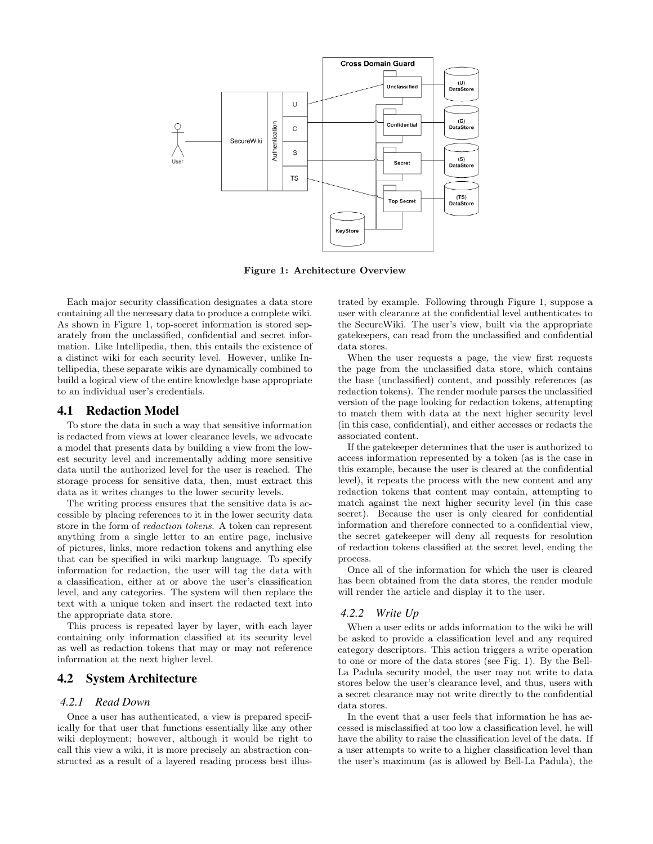

Figure 1: Architecture Overview

Each major security classification designates a data store containing all the necessary data to produce a complete wiki. As shown in Figure 1, top-secret information is stored separately from the unclassified, confidential and secret information. Like Intellipedia, then, this entails the existence of a distinct wiki for each security level. However, unlike Intellipedia, these separate wikis are dynamically combined to build a logical view of the entire knowledge base appropriate to an individual user's credentials.

#### 4.1 Redaction Model

To store the data in such a way that sensitive information is redacted from views at lower clearance levels, we advocate a model that presents data by building a view from the lowest security level and incrementally adding more sensitive data until the authorized level for the user is reached. The storage process for sensitive data, then, must extract this data as it writes changes to the lower security levels.

The writing process ensures that the sensitive data is accessible by placing references to it in the lower security data store in the form of redaction tokens. A token can represent anything from a single letter to an entire page, inclusive of pictures, links, more redaction tokens and anything else that can be specified in wiki markup language. To specify information for redaction, the user will tag the data with a classification, either at or above the user's classification level, and any categories. The system will then replace the text with a unique token and insert the redacted text into the appropriate data store.

This process is repeated layer by layer, with each layer containing only information classified at its security level as well as redaction tokens that may or may not reference information at the next higher level.

# 4.2 System Architecture

#### *4.2.1 Read Down*

Once a user has authenticated, a view is prepared specifically for that user that functions essentially like any other wiki deployment; however, although it would be right to call this view a wiki, it is more precisely an abstraction constructed as a result of a layered reading process best illustrated by example. Following through Figure 1, suppose a user with clearance at the confidential level authenticates to the SecureWiki. The user's view, built via the appropriate gatekeepers, can read from the unclassified and confidential data stores.

When the user requests a page, the view first requests the page from the unclassified data store, which contains the base (unclassified) content, and possibly references (as redaction tokens). The render module parses the unclassified version of the page looking for redaction tokens, attempting to match them with data at the next higher security level (in this case, confidential), and either accesses or redacts the associated content.

If the gatekeeper determines that the user is authorized to access information represented by a token (as is the case in this example, because the user is cleared at the confidential level), it repeats the process with the new content and any redaction tokens that content may contain, attempting to match against the next higher security level (in this case secret). Because the user is only cleared for confidential information and therefore connected to a confidential view, the secret gatekeeper will deny all requests for resolution of redaction tokens classified at the secret level, ending the process.

Once all of the information for which the user is cleared has been obtained from the data stores, the render module will render the article and display it to the user.

#### *4.2.2 Write Up*

When a user edits or adds information to the wiki he will be asked to provide a classification level and any required category descriptors. This action triggers a write operation to one or more of the data stores (see Fig. 1). By the Bell-La Padula security model, the user may not write to data stores below the user's clearance level, and thus, users with a secret clearance may not write directly to the confidential data stores.

In the event that a user feels that information he has accessed is misclassified at too low a classification level, he will have the ability to raise the classification level of the data. If a user attempts to write to a higher classification level than the user's maximum (as is allowed by Bell-La Padula), the